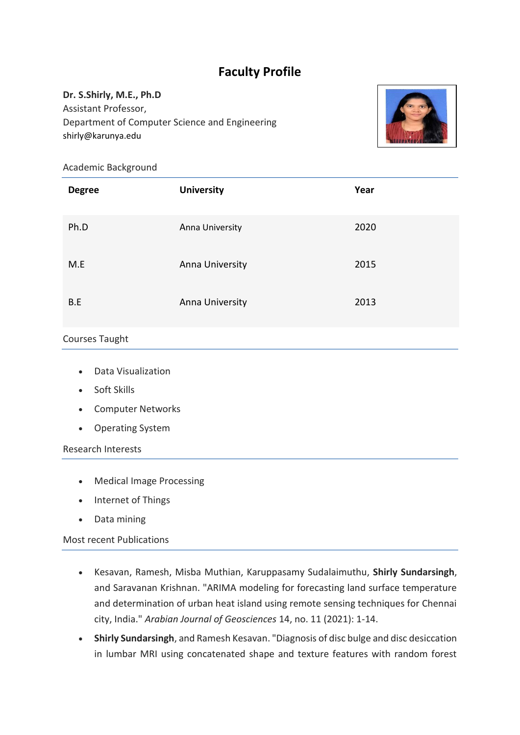## **Faculty Profile**

## **Dr. S.Shirly, M.E., Ph.D**

Assistant Professor, Department of Computer Science and Engineering shirly@karunya.edu



## Academic Background

| <b>Degree</b> | <b>University</b> | Year |
|---------------|-------------------|------|
| Ph.D          | Anna University   | 2020 |
| M.E           | Anna University   | 2015 |
| B.E           | Anna University   | 2013 |

## Courses Taught

- Data Visualization
- Soft Skills
- Computer Networks
- Operating System

Research Interests

- Medical Image Processing
- Internet of Things
- Data mining

Most recent Publications

- Kesavan, Ramesh, Misba Muthian, Karuppasamy Sudalaimuthu, **Shirly Sundarsingh**, and Saravanan Krishnan. "ARIMA modeling for forecasting land surface temperature and determination of urban heat island using remote sensing techniques for Chennai city, India." *Arabian Journal of Geosciences* 14, no. 11 (2021): 1-14.
- **Shirly Sundarsingh**, and Ramesh Kesavan. "Diagnosis of disc bulge and disc desiccation in lumbar MRI using concatenated shape and texture features with random forest